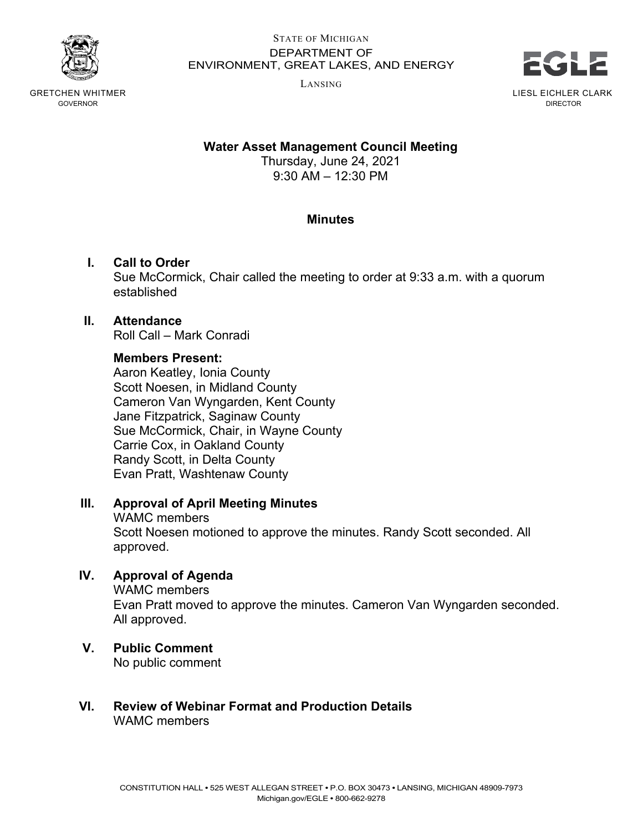

GRETCHEN WHITMER GOVERNOR

#### STATE OF MICHIGAN DEPARTMENT OF ENVIRONMENT, GREAT LAKES, AND ENERGY

LANSING



**Water Asset Management Council Meeting**

Thursday, June 24, 2021 9:30 AM – 12:30 PM

## **Minutes**

## **I. Call to Order**

Sue McCormick, Chair called the meeting to order at 9:33 a.m. with a quorum established

#### **II. Attendance**

Roll Call – Mark Conradi

#### **Members Present:**

Aaron Keatley, Ionia County Scott Noesen, in Midland County Cameron Van Wyngarden, Kent County Jane Fitzpatrick, Saginaw County Sue McCormick, Chair, in Wayne County Carrie Cox, in Oakland County Randy Scott, in Delta County Evan Pratt, Washtenaw County

#### **III. Approval of April Meeting Minutes**

#### WAMC members

Scott Noesen motioned to approve the minutes. Randy Scott seconded. All approved.

### **IV. Approval of Agenda**

WAMC members Evan Pratt moved to approve the minutes. Cameron Van Wyngarden seconded. All approved.

## **V. Public Comment**

No public comment

## **VI. Review of Webinar Format and Production Details** WAMC members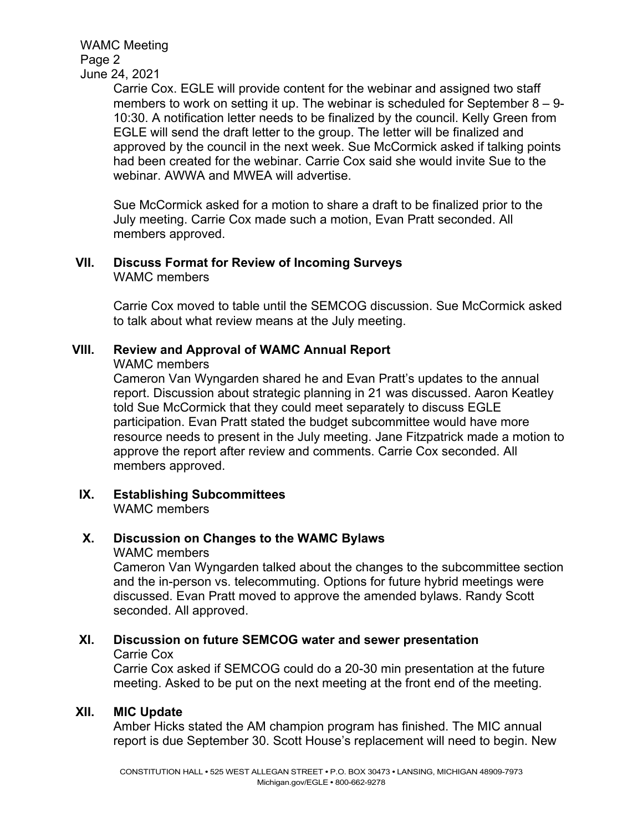WAMC Meeting Page 2 June 24, 2021

Carrie Cox. EGLE will provide content for the webinar and assigned two staff members to work on setting it up. The webinar is scheduled for September 8 – 9- 10:30. A notification letter needs to be finalized by the council. Kelly Green from EGLE will send the draft letter to the group. The letter will be finalized and approved by the council in the next week. Sue McCormick asked if talking points had been created for the webinar. Carrie Cox said she would invite Sue to the webinar. AWWA and MWEA will advertise.

Sue McCormick asked for a motion to share a draft to be finalized prior to the July meeting. Carrie Cox made such a motion, Evan Pratt seconded. All members approved.

#### **VII. Discuss Format for Review of Incoming Surveys** WAMC members

Carrie Cox moved to table until the SEMCOG discussion. Sue McCormick asked to talk about what review means at the July meeting.

## **VIII. Review and Approval of WAMC Annual Report**

WAMC members

Cameron Van Wyngarden shared he and Evan Pratt's updates to the annual report. Discussion about strategic planning in 21 was discussed. Aaron Keatley told Sue McCormick that they could meet separately to discuss EGLE participation. Evan Pratt stated the budget subcommittee would have more resource needs to present in the July meeting. Jane Fitzpatrick made a motion to approve the report after review and comments. Carrie Cox seconded. All members approved.

**IX. Establishing Subcommittees**  WAMC members

## **X. Discussion on Changes to the WAMC Bylaws**

#### WAMC members

Cameron Van Wyngarden talked about the changes to the subcommittee section and the in-person vs. telecommuting. Options for future hybrid meetings were discussed. Evan Pratt moved to approve the amended bylaws. Randy Scott seconded. All approved.

# **XI. Discussion on future SEMCOG water and sewer presentation**

Carrie Cox

Carrie Cox asked if SEMCOG could do a 20-30 min presentation at the future meeting. Asked to be put on the next meeting at the front end of the meeting.

#### **XII. MIC Update**

Amber Hicks stated the AM champion program has finished. The MIC annual report is due September 30. Scott House's replacement will need to begin. New